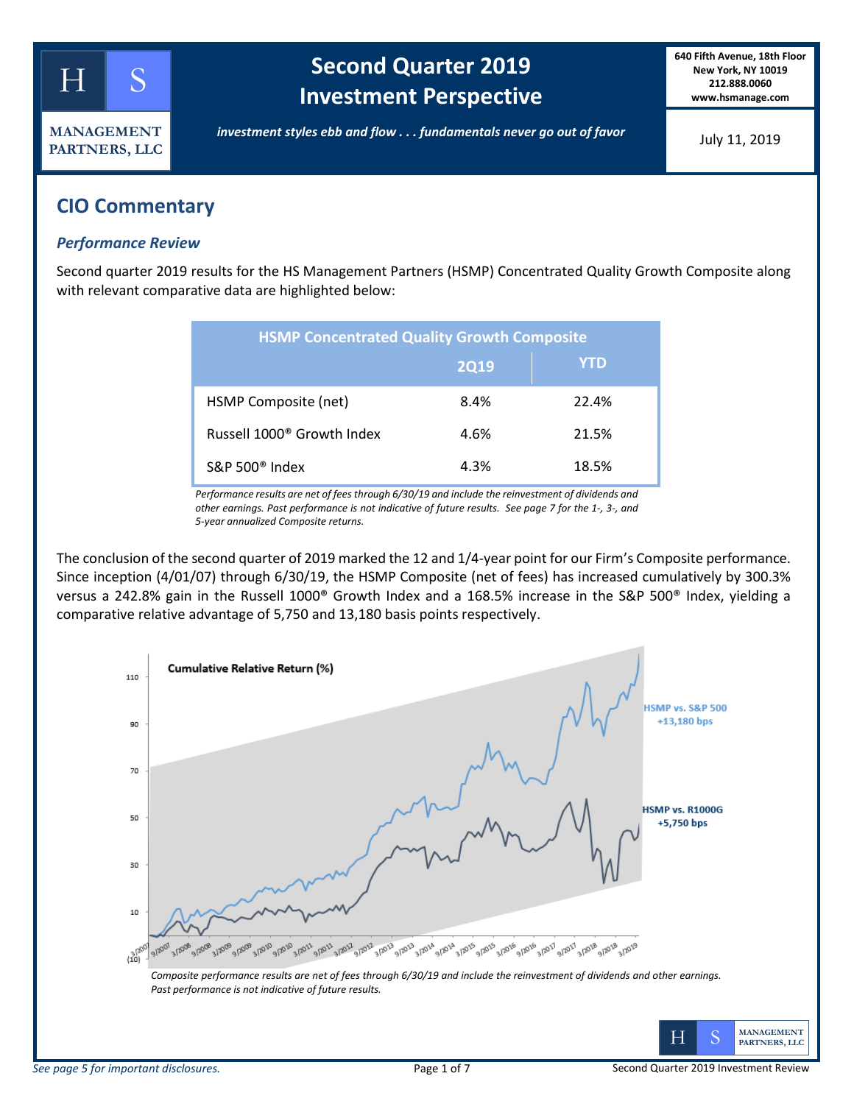

# **Second Quarter 2019 Investment Perspective**

**640 Fifth Avenue, 18th Floor New York, NY 10019 212.888.0060 www.hsmanage.com**

*investment styles ebb and flow . . . fundamentals never go out of favor*

July 11, 2019

## **CIO Commentary**

### *Performance Review*

Second quarter 2019 results for the HS Management Partners (HSMP) Concentrated Quality Growth Composite along with relevant comparative data are highlighted below:

| <b>HSMP Concentrated Quality Growth Composite</b> |             |       |  |  |  |  |
|---------------------------------------------------|-------------|-------|--|--|--|--|
|                                                   | <b>2Q19</b> | YTD   |  |  |  |  |
| HSMP Composite (net)                              | 8.4%        | 22.4% |  |  |  |  |
| Russell 1000 <sup>®</sup> Growth Index            | 4.6%        | 21.5% |  |  |  |  |
| $S\&P 500^{\circ}$ Index                          | 4.3%        | 18.5% |  |  |  |  |

*Performance results are net of fees through 6/30/19 and include the reinvestment of dividends and other earnings. Past performance is not indicative of future results. See page 7 for the 1-, 3-, and 5-year annualized Composite returns.*

The conclusion of the second quarter of 2019 marked the 12 and 1/4-year point for our Firm's Composite performance. Since inception (4/01/07) through 6/30/19, the HSMP Composite (net of fees) has increased cumulatively by 300.3% versus a 242.8% gain in the Russell 1000® Growth Index and a 168.5% increase in the S&P 500® Index, yielding a comparative relative advantage of 5,750 and 13,180 basis points respectively.

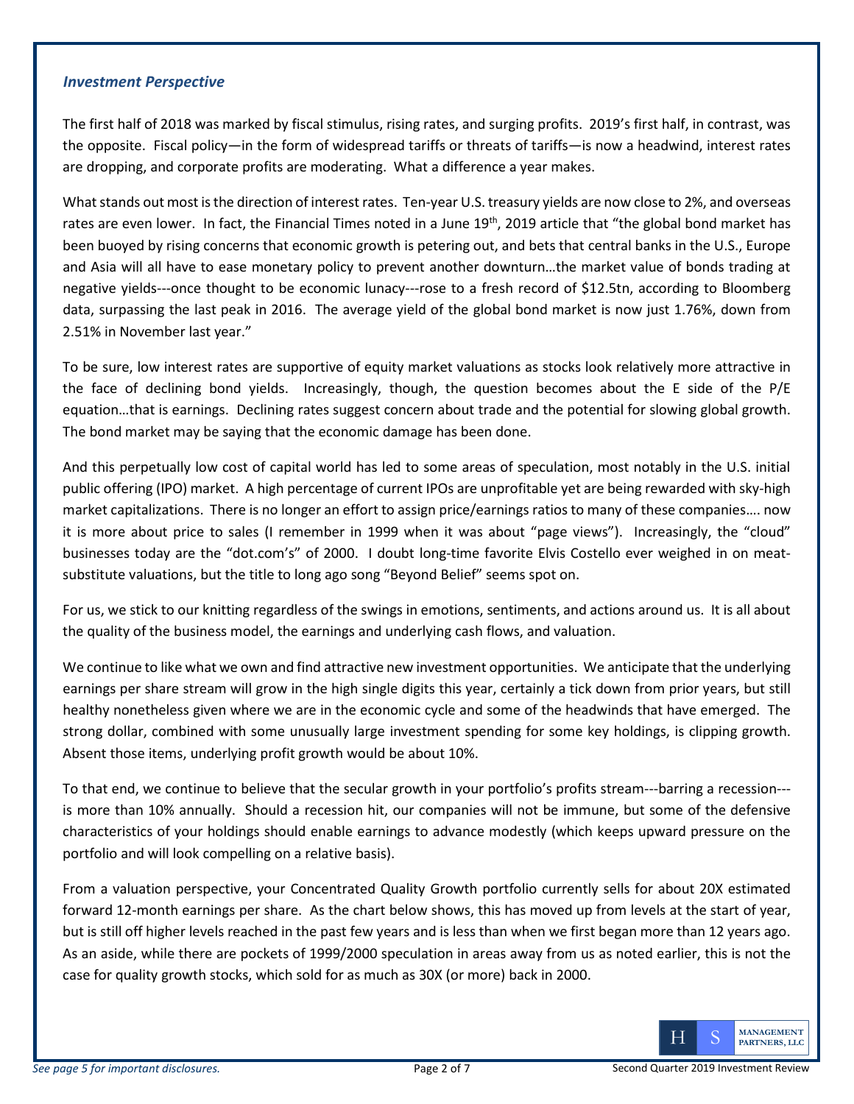#### *Investment Perspective*

The first half of 2018 was marked by fiscal stimulus, rising rates, and surging profits. 2019's first half, in contrast, was the opposite. Fiscal policy—in the form of widespread tariffs or threats of tariffs—is now a headwind, interest rates are dropping, and corporate profits are moderating. What a difference a year makes.

What stands out most is the direction of interest rates. Ten-year U.S. treasury yields are now close to 2%, and overseas rates are even lower. In fact, the Financial Times noted in a June 19<sup>th</sup>, 2019 article that "the global bond market has been buoyed by rising concerns that economic growth is petering out, and bets that central banks in the U.S., Europe and Asia will all have to ease monetary policy to prevent another downturn…the market value of bonds trading at negative yields---once thought to be economic lunacy---rose to a fresh record of \$12.5tn, according to Bloomberg data, surpassing the last peak in 2016. The average yield of the global bond market is now just 1.76%, down from 2.51% in November last year."

To be sure, low interest rates are supportive of equity market valuations as stocks look relatively more attractive in the face of declining bond yields. Increasingly, though, the question becomes about the E side of the P/E equation…that is earnings. Declining rates suggest concern about trade and the potential for slowing global growth. The bond market may be saying that the economic damage has been done.

And this perpetually low cost of capital world has led to some areas of speculation, most notably in the U.S. initial public offering (IPO) market. A high percentage of current IPOs are unprofitable yet are being rewarded with sky-high market capitalizations. There is no longer an effort to assign price/earnings ratios to many of these companies…. now it is more about price to sales (I remember in 1999 when it was about "page views"). Increasingly, the "cloud" businesses today are the "dot.com's" of 2000. I doubt long-time favorite Elvis Costello ever weighed in on meatsubstitute valuations, but the title to long ago song "Beyond Belief" seems spot on.

For us, we stick to our knitting regardless of the swings in emotions, sentiments, and actions around us. It is all about the quality of the business model, the earnings and underlying cash flows, and valuation.

We continue to like what we own and find attractive new investment opportunities. We anticipate that the underlying earnings per share stream will grow in the high single digits this year, certainly a tick down from prior years, but still healthy nonetheless given where we are in the economic cycle and some of the headwinds that have emerged. The strong dollar, combined with some unusually large investment spending for some key holdings, is clipping growth. Absent those items, underlying profit growth would be about 10%.

To that end, we continue to believe that the secular growth in your portfolio's profits stream---barring a recession-- is more than 10% annually. Should a recession hit, our companies will not be immune, but some of the defensive characteristics of your holdings should enable earnings to advance modestly (which keeps upward pressure on the portfolio and will look compelling on a relative basis).

From a valuation perspective, your Concentrated Quality Growth portfolio currently sells for about 20X estimated forward 12-month earnings per share. As the chart below shows, this has moved up from levels at the start of year, but is still off higher levels reached in the past few years and is less than when we first began more than 12 years ago. As an aside, while there are pockets of 1999/2000 speculation in areas away from us as noted earlier, this is not the case for quality growth stocks, which sold for as much as 30X (or more) back in 2000.

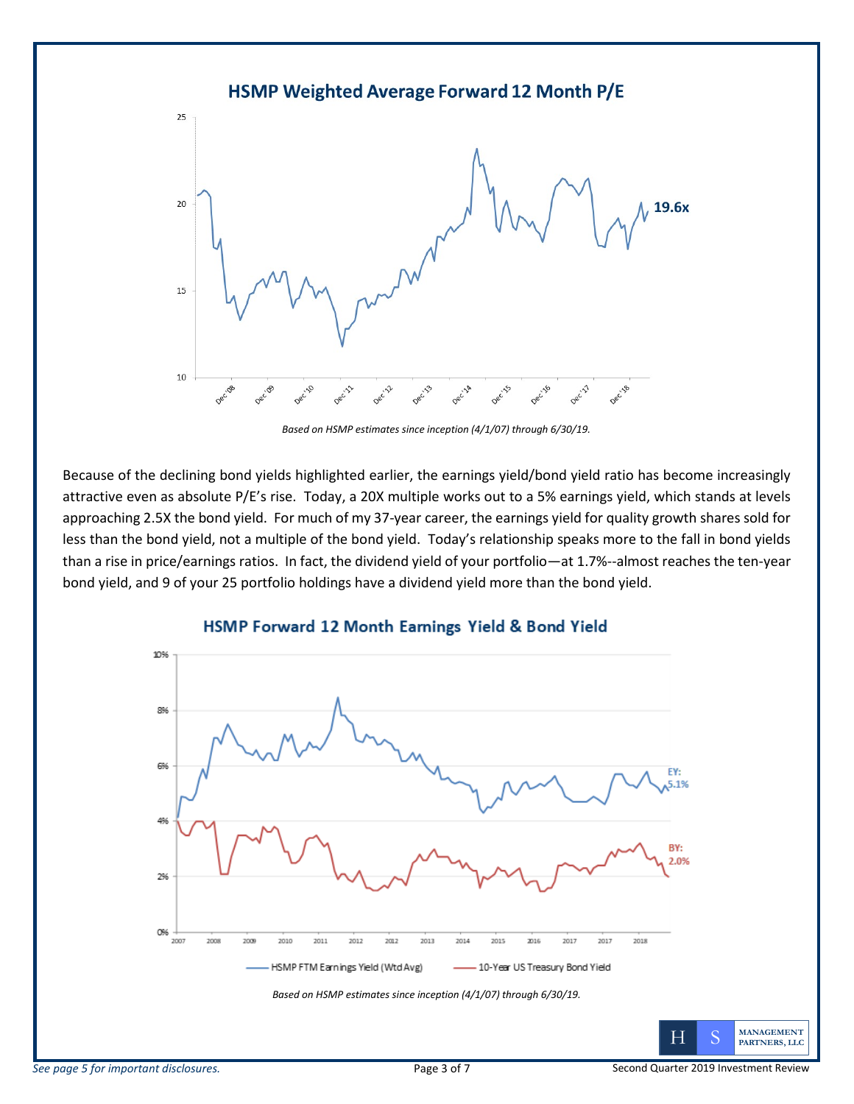

*Based on HSMP estimates since inception (4/1/07) through 6/30/19.*

Because of the declining bond yields highlighted earlier, the earnings yield/bond yield ratio has become increasingly attractive even as absolute P/E's rise. Today, a 20X multiple works out to a 5% earnings yield, which stands at levels approaching 2.5X the bond yield. For much of my 37-year career, the earnings yield for quality growth shares sold for less than the bond yield, not a multiple of the bond yield. Today's relationship speaks more to the fall in bond yields than a rise in price/earnings ratios. In fact, the dividend yield of your portfolio—at 1.7%--almost reaches the ten-year bond yield, and 9 of your 25 portfolio holdings have a dividend yield more than the bond yield.



### HSMP Forward 12 Month Earnings Yield & Bond Yield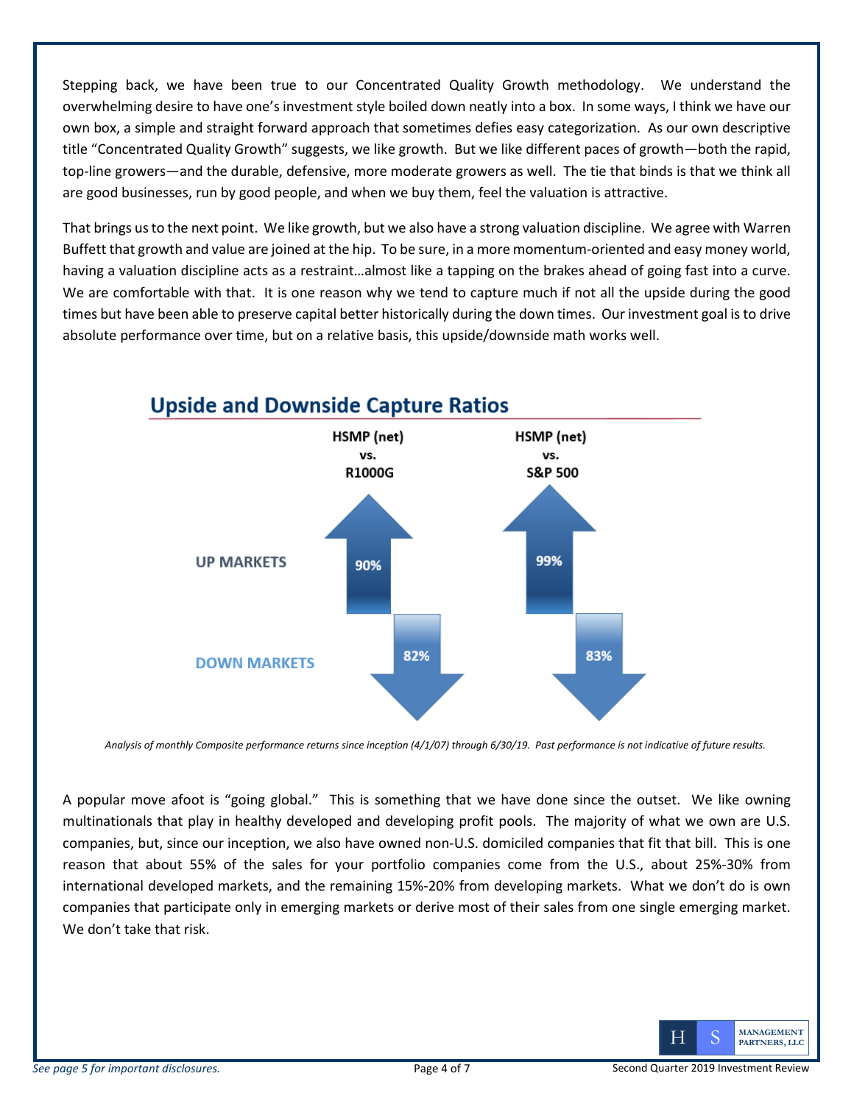Stepping back, we have been true to our Concentrated Quality Growth methodology. We understand the overwhelming desire to have one's investment style boiled down neatly into a box. In some ways, I think we have our own box, a simple and straight forward approach that sometimes defies easy categorization. As our own descriptive title "Concentrated Quality Growth" suggests, we like growth. But we like different paces of growth—both the rapid, top-line growers—and the durable, defensive, more moderate growers as well. The tie that binds is that we think all are good businesses, run by good people, and when we buy them, feel the valuation is attractive.

That brings us to the next point. We like growth, but we also have a strong valuation discipline. We agree with Warren Buffett that growth and value are joined at the hip. To be sure, in a more momentum-oriented and easy money world, having a valuation discipline acts as a restraint…almost like a tapping on the brakes ahead of going fast into a curve. We are comfortable with that. It is one reason why we tend to capture much if not all the upside during the good times but have been able to preserve capital better historically during the down times. Our investment goal is to drive absolute performance over time, but on a relative basis, this upside/downside math works well.



## **Upside and Downside Capture Ratios**

*Analysis of monthly Composite performance returns since inception (4/1/07) through 6/30/19. Past performance is not indicative of future results.*

A popular move afoot is "going global." This is something that we have done since the outset. We like owning multinationals that play in healthy developed and developing profit pools. The majority of what we own are U.S. companies, but, since our inception, we also have owned non-U.S. domiciled companies that fit that bill. This is one reason that about 55% of the sales for your portfolio companies come from the U.S., about 25%-30% from international developed markets, and the remaining 15%-20% from developing markets. What we don't do is own companies that participate only in emerging markets or derive most of their sales from one single emerging market. We don't take that risk.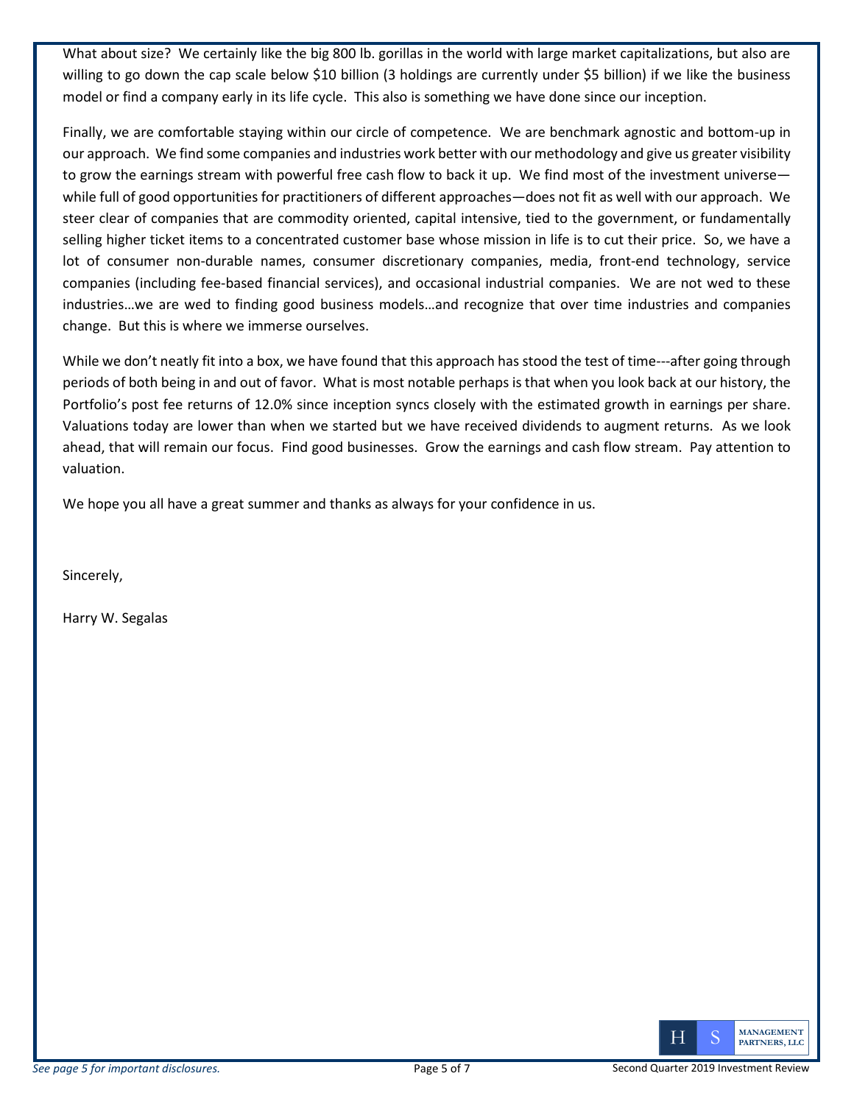What about size? We certainly like the big 800 lb. gorillas in the world with large market capitalizations, but also are willing to go down the cap scale below \$10 billion (3 holdings are currently under \$5 billion) if we like the business model or find a company early in its life cycle. This also is something we have done since our inception.

Finally, we are comfortable staying within our circle of competence. We are benchmark agnostic and bottom-up in our approach. We find some companies and industries work better with our methodology and give us greater visibility to grow the earnings stream with powerful free cash flow to back it up. We find most of the investment universe while full of good opportunities for practitioners of different approaches—does not fit as well with our approach. We steer clear of companies that are commodity oriented, capital intensive, tied to the government, or fundamentally selling higher ticket items to a concentrated customer base whose mission in life is to cut their price. So, we have a lot of consumer non-durable names, consumer discretionary companies, media, front-end technology, service companies (including fee-based financial services), and occasional industrial companies. We are not wed to these industries…we are wed to finding good business models…and recognize that over time industries and companies change. But this is where we immerse ourselves.

While we don't neatly fit into a box, we have found that this approach has stood the test of time---after going through periods of both being in and out of favor. What is most notable perhaps is that when you look back at our history, the Portfolio's post fee returns of 12.0% since inception syncs closely with the estimated growth in earnings per share. Valuations today are lower than when we started but we have received dividends to augment returns. As we look ahead, that will remain our focus. Find good businesses. Grow the earnings and cash flow stream. Pay attention to valuation.

We hope you all have a great summer and thanks as always for your confidence in us.

Sincerely,

Harry W. Segalas

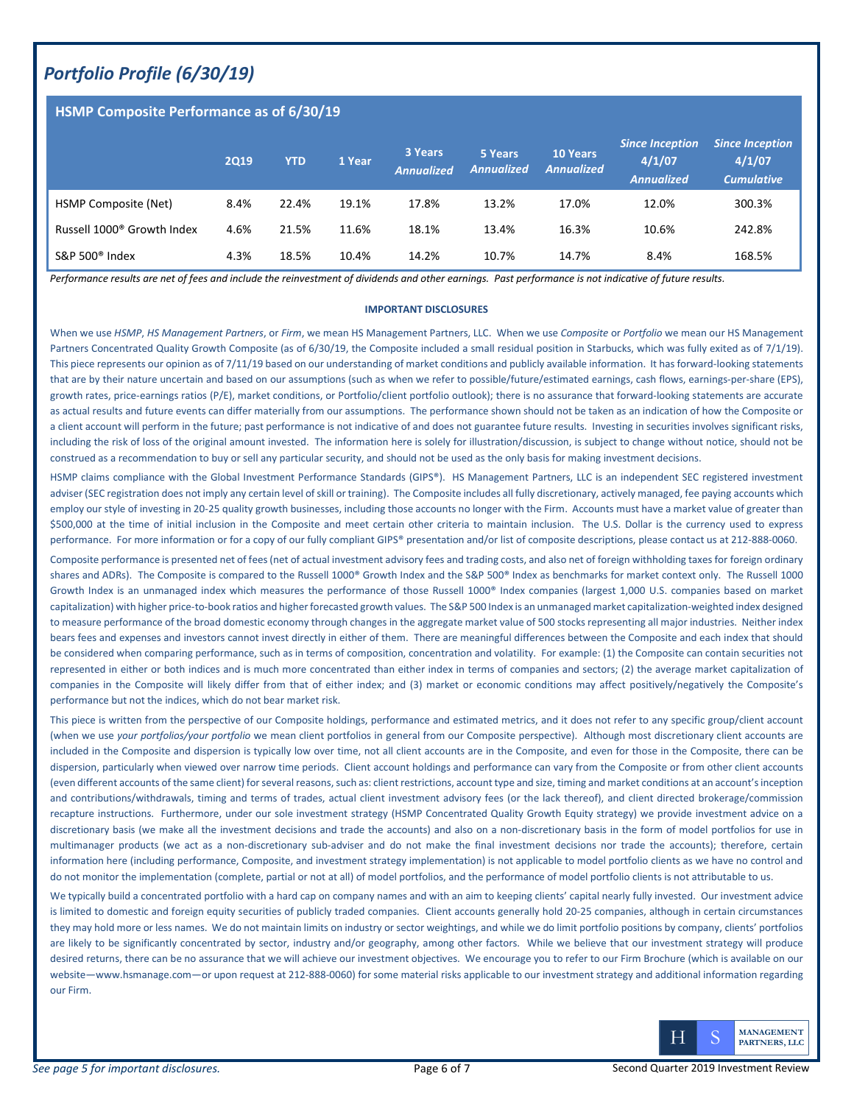### *Portfolio Profile (6/30/19)*

#### **HSMP Composite Performance as of 6/30/19**

|                                        | <b>2Q19</b> | <b>YTD</b> | 1 Year | 3 Years<br><b>Annualized</b> | 5 Years<br><b>Annualized</b> | <b>10 Years</b><br><b>Annualized</b> | <b>Since Inception</b><br>4/1/07<br><b>Annualized</b> | <b>Since Inception</b><br>4/1/07<br><b>Cumulative</b> |
|----------------------------------------|-------------|------------|--------|------------------------------|------------------------------|--------------------------------------|-------------------------------------------------------|-------------------------------------------------------|
| HSMP Composite (Net)                   | 8.4%        | 22.4%      | 19.1%  | 17.8%                        | 13.2%                        | 17.0%                                | 12.0%                                                 | 300.3%                                                |
| Russell 1000 <sup>®</sup> Growth Index | 4.6%        | 21.5%      | 11.6%  | 18.1%                        | 13.4%                        | 16.3%                                | 10.6%                                                 | 242.8%                                                |
| S&P 500 <sup>®</sup> Index             | 4.3%        | 18.5%      | 10.4%  | 14.2%                        | 10.7%                        | 14.7%                                | 8.4%                                                  | 168.5%                                                |

*Performance results are net of fees and include the reinvestment of dividends and other earnings. Past performance is not indicative of future results.* 

#### **IMPORTANT DISCLOSURES**

When we use *HSMP*, *HS Management Partners*, or *Firm*, we mean HS Management Partners, LLC. When we use *Composite* or *Portfolio* we mean our HS Management Partners Concentrated Quality Growth Composite (as of 6/30/19, the Composite included a small residual position in Starbucks, which was fully exited as of 7/1/19). This piece represents our opinion as of 7/11/19 based on our understanding of market conditions and publicly available information. It has forward-looking statements that are by their nature uncertain and based on our assumptions (such as when we refer to possible/future/estimated earnings, cash flows, earnings-per-share (EPS), growth rates, price-earnings ratios (P/E), market conditions, or Portfolio/client portfolio outlook); there is no assurance that forward-looking statements are accurate as actual results and future events can differ materially from our assumptions. The performance shown should not be taken as an indication of how the Composite or a client account will perform in the future; past performance is not indicative of and does not guarantee future results. Investing in securities involves significant risks, including the risk of loss of the original amount invested. The information here is solely for illustration/discussion, is subject to change without notice, should not be construed as a recommendation to buy or sell any particular security, and should not be used as the only basis for making investment decisions.

HSMP claims compliance with the Global Investment Performance Standards (GIPS®). HS Management Partners, LLC is an independent SEC registered investment adviser (SEC registration does not imply any certain level of skill or training). The Composite includes all fully discretionary, actively managed, fee paying accounts which employ our style of investing in 20-25 quality growth businesses, including those accounts no longer with the Firm. Accounts must have a market value of greater than \$500,000 at the time of initial inclusion in the Composite and meet certain other criteria to maintain inclusion. The U.S. Dollar is the currency used to express performance. For more information or for a copy of our fully compliant GIPS® presentation and/or list of composite descriptions, please contact us at 212-888-0060.

Composite performance is presented net of fees (net of actual investment advisory fees and trading costs, and also net of foreign withholding taxes for foreign ordinary shares and ADRs). The Composite is compared to the Russell 1000® Growth Index and the S&P 500® Index as benchmarks for market context only. The Russell 1000 Growth Index is an unmanaged index which measures the performance of those Russell 1000® Index companies (largest 1,000 U.S. companies based on market capitalization) with higher price-to-book ratios and higher forecasted growth values. The S&P 500 Index is an unmanaged market capitalization-weighted index designed to measure performance of the broad domestic economy through changes in the aggregate market value of 500 stocks representing all major industries. Neither index bears fees and expenses and investors cannot invest directly in either of them. There are meaningful differences between the Composite and each index that should be considered when comparing performance, such as in terms of composition, concentration and volatility. For example: (1) the Composite can contain securities not represented in either or both indices and is much more concentrated than either index in terms of companies and sectors; (2) the average market capitalization of companies in the Composite will likely differ from that of either index; and (3) market or economic conditions may affect positively/negatively the Composite's performance but not the indices, which do not bear market risk.

This piece is written from the perspective of our Composite holdings, performance and estimated metrics, and it does not refer to any specific group/client account (when we use *your portfolios/your portfolio* we mean client portfolios in general from our Composite perspective). Although most discretionary client accounts are included in the Composite and dispersion is typically low over time, not all client accounts are in the Composite, and even for those in the Composite, there can be dispersion, particularly when viewed over narrow time periods. Client account holdings and performance can vary from the Composite or from other client accounts (even different accounts of the same client) for several reasons, such as: client restrictions, account type and size, timing and market conditions at an account's inception and contributions/withdrawals, timing and terms of trades, actual client investment advisory fees (or the lack thereof), and client directed brokerage/commission recapture instructions. Furthermore, under our sole investment strategy (HSMP Concentrated Quality Growth Equity strategy) we provide investment advice on a discretionary basis (we make all the investment decisions and trade the accounts) and also on a non-discretionary basis in the form of model portfolios for use in multimanager products (we act as a non-discretionary sub-adviser and do not make the final investment decisions nor trade the accounts); therefore, certain information here (including performance, Composite, and investment strategy implementation) is not applicable to model portfolio clients as we have no control and do not monitor the implementation (complete, partial or not at all) of model portfolios, and the performance of model portfolio clients is not attributable to us.

We typically build a concentrated portfolio with a hard cap on company names and with an aim to keeping clients' capital nearly fully invested. Our investment advice is limited to domestic and foreign equity securities of publicly traded companies. Client accounts generally hold 20-25 companies, although in certain circumstances they may hold more or less names. We do not maintain limits on industry or sector weightings, and while we do limit portfolio positions by company, clients' portfolios are likely to be significantly concentrated by sector, industry and/or geography, among other factors. While we believe that our investment strategy will produce desired returns, there can be no assurance that we will achieve our investment objectives. We encourage you to refer to our Firm Brochure (which is available on our website—www.hsmanage.com—or upon request at 212-888-0060) for some material risks applicable to our investment strategy and additional information regarding our Firm.